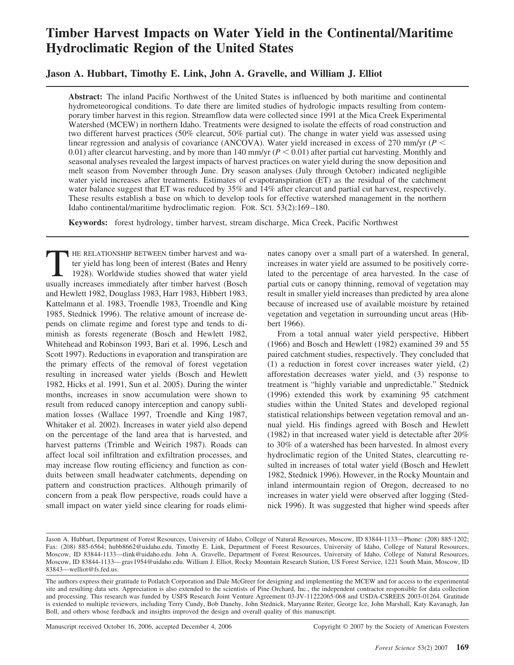# **Timber Harvest Impacts on Water Yield in the Continental/Maritime Hydroclimatic Region of the United States**

**Jason A. Hubbart, Timothy E. Link, John A. Gravelle, and William J. Elliot**

**Abstract:** The inland Pacific Northwest of the United States is influenced by both maritime and continental hydrometeorogical conditions. To date there are limited studies of hydrologic impacts resulting from contemporary timber harvest in this region. Streamflow data were collected since 1991 at the Mica Creek Experimental Watershed (MCEW) in northern Idaho. Treatments were designed to isolate the effects of road construction and two different harvest practices (50% clearcut, 50% partial cut). The change in water yield was assessed using linear regression and analysis of covariance (ANCOVA). Water yield increased in excess of 270 mm/yr (*P* 0.01) after clearcut harvesting, and by more than 140 mm/yr  $(P < 0.01)$  after partial cut harvesting. Monthly and seasonal analyses revealed the largest impacts of harvest practices on water yield during the snow deposition and melt season from November through June. Dry season analyses (July through October) indicated negligible water yield increases after treatments. Estimates of evapotranspiration (ET) as the residual of the catchment water balance suggest that ET was reduced by 35% and 14% after clearcut and partial cut harvest, respectively. These results establish a base on which to develop tools for effective watershed management in the northern Idaho continental/maritime hydroclimatic region. FOR. SCI. 53(2):169 –180.

**Keywords:** forest hydrology, timber harvest, stream discharge, Mica Creek, Pacific Northwest

THE RELATIONSHIP BETWEEN timber harvest and water yield has long been of interest (Bates and Henry 1928). Worldwide studies showed that water yield usually increases immediately after timber harvest (Bosch and Hewlett 1982, Douglass 1983, Harr 1983, Hibbert 1983, Kattelmann et al. 1983, Troendle 1983, Troendle and King 1985, Stednick 1996). The relative amount of increase depends on climate regime and forest type and tends to diminish as forests regenerate (Bosch and Hewlett 1982, Whitehead and Robinson 1993, Bari et al. 1996, Lesch and Scott 1997). Reductions in evaporation and transpiration are the primary effects of the removal of forest vegetation resulting in increased water yields (Bosch and Hewlett 1982, Hicks et al. 1991, Sun et al. 2005). During the winter months, increases in snow accumulation were shown to result from reduced canopy interception and canopy sublimation losses (Wallace 1997, Troendle and King 1987, Whitaker et al. 2002). Increases in water yield also depend on the percentage of the land area that is harvested, and harvest patterns (Trimble and Weirich 1987). Roads can affect local soil infiltration and exfiltration processes, and may increase flow routing efficiency and function as conduits between small headwater catchments, depending on pattern and construction practices. Although primarily of concern from a peak flow perspective, roads could have a small impact on water yield since clearing for roads eliminates canopy over a small part of a watershed. In general, increases in water yield are assumed to be positively correlated to the percentage of area harvested. In the case of partial cuts or canopy thinning, removal of vegetation may result in smaller yield increases than predicted by area alone because of increased use of available moisture by retained vegetation and vegetation in surrounding uncut areas (Hibbert 1966).

From a total annual water yield perspective, Hibbert (1966) and Bosch and Hewlett (1982) examined 39 and 55 paired catchment studies, respectively. They concluded that (1) a reduction in forest cover increases water yield, (2) afforestation decreases water yield, and (3) response to treatment is "highly variable and unpredictable." Stednick (1996) extended this work by examining 95 catchment studies within the United States and developed regional statistical relationships between vegetation removal and annual yield. His findings agreed with Bosch and Hewlett (1982) in that increased water yield is detectable after 20% to 30% of a watershed has been harvested. In almost every hydroclimatic region of the United States, clearcutting resulted in increases of total water yield (Bosch and Hewlett 1982, Stednick 1996). However, in the Rocky Mountain and inland intermountain region of Oregon, decreased to no increases in water yield were observed after logging (Stednick 1996). It was suggested that higher wind speeds after

Manuscript received October 16, 2006, accepted December 4, 2006 Copyright © 2007 by the Society of American Foresters

Jason A. Hubbart, Department of Forest Resources, University of Idaho, College of Natural Resources, Moscow, ID 83844-1133—Phone: (208) 885-1202; Fax: (208) 885-6564; hubb8662@uidaho.edu. Timothy E. Link, Department of Forest Resources, University of Idaho, College of Natural Resources, Moscow, ID 83844-1133—tlink@uidaho.edu. John A. Gravelle, Department of Forest Resources, University of Idaho, College of Natural Resources, Moscow, ID 83844-1133— grav1954@uidaho.edu. William J. Elliot, Rocky Mountain Research Station, US Forest Service, 1221 South Main, Moscow, ID 83843—welliot@fs.fed.us.

The authors express their gratitude to Potlatch Corporation and Dale McGreer for designing and implementing the MCEW and for access to the experimental site and resulting data sets. Appreciation is also extended to the scientists of Pine Orchard, Inc., the independent contractor responsible for data collection and processing. This research was funded by USFS Research Joint Venture Agreement 03-JV-11222065-068 and USDA-CSREES 2003-01264. Gratitude is extended to multiple reviewers, including Terry Cundy, Bob Danehy, John Stednick, Maryanne Reiter, George Ice, John Marshall, Katy Kavanagh, Jan Boll, and others whose feedback and insights improved the design and overall quality of this manuscript.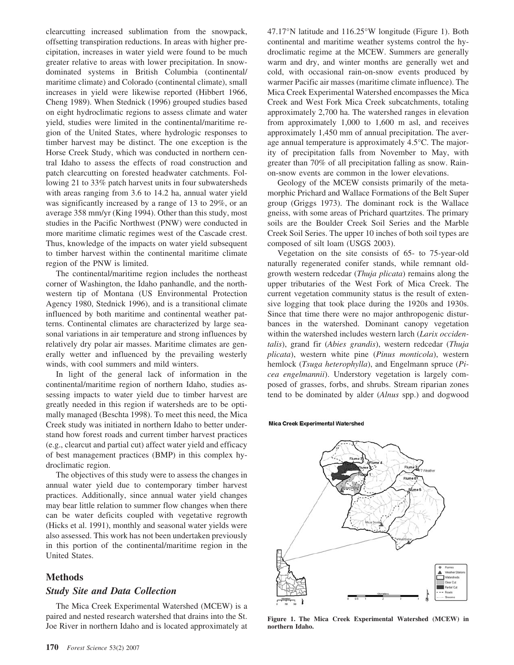clearcutting increased sublimation from the snowpack, offsetting transpiration reductions. In areas with higher precipitation, increases in water yield were found to be much greater relative to areas with lower precipitation. In snowdominated systems in British Columbia (continental/ maritime climate) and Colorado (continental climate), small increases in yield were likewise reported (Hibbert 1966, Cheng 1989). When Stednick (1996) grouped studies based on eight hydroclimatic regions to assess climate and water yield, studies were limited in the continental/maritime region of the United States, where hydrologic responses to timber harvest may be distinct. The one exception is the Horse Creek Study, which was conducted in northern central Idaho to assess the effects of road construction and patch clearcutting on forested headwater catchments. Following 21 to 33% patch harvest units in four subwatersheds with areas ranging from 3.6 to 14.2 ha, annual water yield was significantly increased by a range of 13 to 29%, or an average 358 mm/yr (King 1994). Other than this study, most studies in the Pacific Northwest (PNW) were conducted in more maritime climatic regimes west of the Cascade crest. Thus, knowledge of the impacts on water yield subsequent to timber harvest within the continental maritime climate region of the PNW is limited.

The continental/maritime region includes the northeast corner of Washington, the Idaho panhandle, and the northwestern tip of Montana (US Environmental Protection Agency 1980, Stednick 1996), and is a transitional climate influenced by both maritime and continental weather patterns. Continental climates are characterized by large seasonal variations in air temperature and strong influences by relatively dry polar air masses. Maritime climates are generally wetter and influenced by the prevailing westerly winds, with cool summers and mild winters.

In light of the general lack of information in the continental/maritime region of northern Idaho, studies assessing impacts to water yield due to timber harvest are greatly needed in this region if watersheds are to be optimally managed (Beschta 1998). To meet this need, the Mica Creek study was initiated in northern Idaho to better understand how forest roads and current timber harvest practices (e.g., clearcut and partial cut) affect water yield and efficacy of best management practices (BMP) in this complex hydroclimatic region.

The objectives of this study were to assess the changes in annual water yield due to contemporary timber harvest practices. Additionally, since annual water yield changes may bear little relation to summer flow changes when there can be water deficits coupled with vegetative regrowth (Hicks et al. 1991), monthly and seasonal water yields were also assessed. This work has not been undertaken previously in this portion of the continental/maritime region in the United States.

# **Methods**

#### *Study Site and Data Collection*

The Mica Creek Experimental Watershed (MCEW) is a paired and nested research watershed that drains into the St. Joe River in northern Idaho and is located approximately at

47.17°N latitude and 116.25°W longitude (Figure 1). Both continental and maritime weather systems control the hydroclimatic regime at the MCEW. Summers are generally warm and dry, and winter months are generally wet and cold, with occasional rain-on-snow events produced by warmer Pacific air masses (maritime climate influence). The Mica Creek Experimental Watershed encompasses the Mica Creek and West Fork Mica Creek subcatchments, totaling approximately 2,700 ha. The watershed ranges in elevation from approximately 1,000 to 1,600 m asl, and receives approximately 1,450 mm of annual precipitation. The average annual temperature is approximately 4.5°C. The majority of precipitation falls from November to May, with greater than 70% of all precipitation falling as snow. Rainon-snow events are common in the lower elevations.

Geology of the MCEW consists primarily of the metamorphic Prichard and Wallace Formations of the Belt Super group (Griggs 1973). The dominant rock is the Wallace gneiss, with some areas of Prichard quartzites. The primary soils are the Boulder Creek Soil Series and the Marble Creek Soil Series. The upper 10 inches of both soil types are composed of silt loam (USGS 2003).

Vegetation on the site consists of 65- to 75-year-old naturally regenerated conifer stands, while remnant oldgrowth western redcedar (*Thuja plicata*) remains along the upper tributaries of the West Fork of Mica Creek. The current vegetation community status is the result of extensive logging that took place during the 1920s and 1930s. Since that time there were no major anthropogenic disturbances in the watershed. Dominant canopy vegetation within the watershed includes western larch (*Larix occidentalis*), grand fir (*Abies grandis*), western redcedar (*Thuja plicata*), western white pine (*Pinus monticola*), western hemlock (*Tsuga heterophylla*), and Engelmann spruce (*Picea engelmannii*). Understory vegetation is largely composed of grasses, forbs, and shrubs. Stream riparian zones tend to be dominated by alder (*Alnus* spp.) and dogwood

#### **Mica Creek Experimental Watershed**



**Figure 1. The Mica Creek Experimental Watershed (MCEW) in northern Idaho.**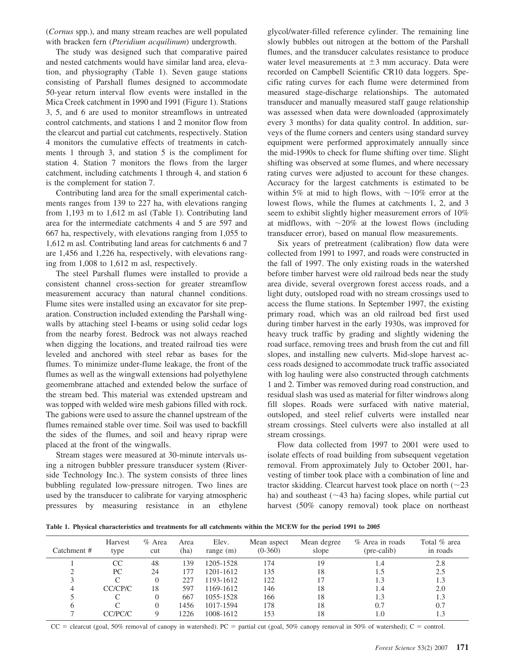(*Cornus* spp.), and many stream reaches are well populated with bracken fern (*Pteridium acquilinum*) undergrowth.

The study was designed such that comparative paired and nested catchments would have similar land area, elevation, and physiography (Table 1). Seven gauge stations consisting of Parshall flumes designed to accommodate 50-year return interval flow events were installed in the Mica Creek catchment in 1990 and 1991 (Figure 1). Stations 3, 5, and 6 are used to monitor streamflows in untreated control catchments, and stations 1 and 2 monitor flow from the clearcut and partial cut catchments, respectively. Station 4 monitors the cumulative effects of treatments in catchments 1 through 3, and station 5 is the compliment for station 4. Station 7 monitors the flows from the larger catchment, including catchments 1 through 4, and station 6 is the complement for station 7.

Contributing land area for the small experimental catchments ranges from 139 to 227 ha, with elevations ranging from 1,193 m to 1,612 m asl (Table 1). Contributing land area for the intermediate catchments 4 and 5 are 597 and 667 ha, respectively, with elevations ranging from 1,055 to 1,612 m asl. Contributing land areas for catchments 6 and 7 are 1,456 and 1,226 ha, respectively, with elevations ranging from 1,008 to 1,612 m asl, respectively.

The steel Parshall flumes were installed to provide a consistent channel cross-section for greater streamflow measurement accuracy than natural channel conditions. Flume sites were installed using an excavator for site preparation. Construction included extending the Parshall wingwalls by attaching steel I-beams or using solid cedar logs from the nearby forest. Bedrock was not always reached when digging the locations, and treated railroad ties were leveled and anchored with steel rebar as bases for the flumes. To minimize under-flume leakage, the front of the flumes as well as the wingwall extensions had polyethylene geomembrane attached and extended below the surface of the stream bed. This material was extended upstream and was topped with welded wire mesh gabions filled with rock. The gabions were used to assure the channel upstream of the flumes remained stable over time. Soil was used to backfill the sides of the flumes, and soil and heavy riprap were placed at the front of the wingwalls.

Stream stages were measured at 30-minute intervals using a nitrogen bubbler pressure transducer system (Riverside Technology Inc.). The system consists of three lines bubbling regulated low-pressure nitrogen. Two lines are used by the transducer to calibrate for varying atmospheric pressures by measuring resistance in an ethylene glycol/water-filled reference cylinder. The remaining line slowly bubbles out nitrogen at the bottom of the Parshall flumes, and the transducer calculates resistance to produce water level measurements at  $\pm 3$  mm accuracy. Data were recorded on Campbell Scientific CR10 data loggers. Specific rating curves for each flume were determined from measured stage-discharge relationships. The automated transducer and manually measured staff gauge relationship was assessed when data were downloaded (approximately every 3 months) for data quality control. In addition, surveys of the flume corners and centers using standard survey equipment were performed approximately annually since the mid-1990s to check for flume shifting over time. Slight shifting was observed at some flumes, and where necessary rating curves were adjusted to account for these changes. Accuracy for the largest catchments is estimated to be within 5% at mid to high flows, with  $\sim$ 10% error at the lowest flows, while the flumes at catchments 1, 2, and 3 seem to exhibit slightly higher measurement errors of 10% at midflows, with  $\sim 20\%$  at the lowest flows (including transducer error), based on manual flow measurements.

Six years of pretreatment (calibration) flow data were collected from 1991 to 1997, and roads were constructed in the fall of 1997. The only existing roads in the watershed before timber harvest were old railroad beds near the study area divide, several overgrown forest access roads, and a light duty, outsloped road with no stream crossings used to access the flume stations. In September 1997, the existing primary road, which was an old railroad bed first used during timber harvest in the early 1930s, was improved for heavy truck traffic by grading and slightly widening the road surface, removing trees and brush from the cut and fill slopes, and installing new culverts. Mid-slope harvest access roads designed to accommodate truck traffic associated with log hauling were also constructed through catchments 1 and 2. Timber was removed during road construction, and residual slash was used as material for filter windrows along fill slopes. Roads were surfaced with native material, outsloped, and steel relief culverts were installed near stream crossings. Steel culverts were also installed at all stream crossings.

Flow data collected from 1997 to 2001 were used to isolate effects of road building from subsequent vegetation removal. From approximately July to October 2001, harvesting of timber took place with a combination of line and tractor skidding. Clearcut harvest took place on north  $(\sim 23)$ ha) and southeast ( $\sim$ 43 ha) facing slopes, while partial cut harvest (50% canopy removal) took place on northeast

**Table 1. Physical characteristics and treatments for all catchments within the MCEW for the period 1991 to 2005**

| Catchment # | Harvest<br>type | $%$ Area<br>cut | Area<br>(ha) | Elev.<br>range $(m)$ | Mean aspect<br>$(0-360)$ | Mean degree<br>slope | $%$ Area in roads<br>(pre-calib) | Total % area<br>in roads |
|-------------|-----------------|-----------------|--------------|----------------------|--------------------------|----------------------|----------------------------------|--------------------------|
|             | CC              | 48              | 139          | 1205-1528            | 174                      | 19                   | 1.4                              | 2.8                      |
|             | PC              | 24              | 177          | 1201-1612            | 135                      | 18                   | 1.5                              | 2.5                      |
|             | C               | 0               | 227          | 1193-1612            | 122                      |                      | 1.3                              | 1.3                      |
| 4           | CC/CP/C         | 18              | 597          | 1169-1612            | 146                      | 18                   | 1.4                              | 2.0                      |
|             |                 | 0               | 667          | 1055-1528            | 166                      | 18                   | 1.3                              | 1.3                      |
| 6           |                 | 0               | 1456         | 1017-1594            | 178                      | 18                   | 0.7                              | 0.7                      |
|             | CC/PC/C         |                 | 1226         | 1008-1612            | 153                      | 18                   | 0.،                              | 1.3                      |

 $CC =$  clearcut (goal, 50% removal of canopy in watershed). PC = partial cut (goal, 50% canopy removal in 50% of watershed); C = control.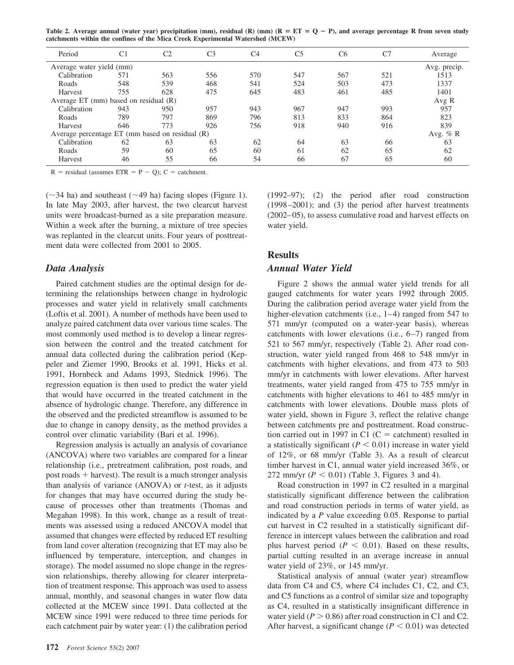**Table 2. Average annual (water year) precipitation (mm), residual (R) (mm) (R ET Q** - **P), and average percentage R from seven study catchments within the confines of the Mica Creek Experimental Watershed (MCEW)**

| Period                                          | C1  | C2  | C <sub>3</sub> | C4  | C5  | C <sub>6</sub> | C7  | Average          |
|-------------------------------------------------|-----|-----|----------------|-----|-----|----------------|-----|------------------|
| Average water yield (mm)                        |     |     |                |     |     |                |     | Avg. precip.     |
| Calibration                                     | 571 | 563 | 556            | 570 | 547 | 567            | 521 | 1513             |
| Roads                                           | 548 | 539 | 468            | 541 | 524 | 503            | 473 | 1337             |
| Harvest                                         | 755 | 628 | 475            | 645 | 483 | 461            | 485 | 1401             |
| Average ET (mm) based on residual $(R)$         |     |     |                |     |     |                |     | Avg R            |
| Calibration                                     | 943 | 950 | 957            | 943 | 967 | 947            | 993 | 957              |
| Roads                                           | 789 | 797 | 869            | 796 | 813 | 833            | 864 | 823              |
| Harvest                                         | 646 | 773 | 926            | 756 | 918 | 940            | 916 | 839              |
| Average percentage ET (mm based on residual (R) |     |     |                |     |     |                |     |                  |
| Calibration                                     | 62  | 63  | 63             | 62  | 64  | 63             | 66  | Avg. $%$ R<br>63 |
| Roads                                           | 59  | 60  | 65             | 60  | 61  | 62             | 65  | 62               |
| Harvest                                         | 46  | 55  | 66             | 54  | 66  | 67             | 65  | 60               |

 $R$  = residual (assumes ETR = P - Q); C = catchment.

 $(\sim$ 34 ha) and southeast ( $\sim$ 49 ha) facing slopes (Figure 1). In late May 2003, after harvest, the two clearcut harvest units were broadcast-burned as a site preparation measure. Within a week after the burning, a mixture of tree species was replanted in the clearcut units. Four years of posttreatment data were collected from 2001 to 2005.

#### *Data Analysis*

Paired catchment studies are the optimal design for determining the relationships between change in hydrologic processes and water yield in relatively small catchments (Loftis et al. 2001). A number of methods have been used to analyze paired catchment data over various time scales. The most commonly used method is to develop a linear regression between the control and the treated catchment for annual data collected during the calibration period (Keppeler and Ziemer 1990, Brooks et al. 1991, Hicks et al. 1991, Hornbeck and Adams 1993, Stednick 1996). The regression equation is then used to predict the water yield that would have occurred in the treated catchment in the absence of hydrologic change. Therefore, any difference in the observed and the predicted streamflow is assumed to be due to change in canopy density, as the method provides a control over climatic variability (Bari et al. 1996).

Regression analysis is actually an analysis of covariance (ANCOVA) where two variables are compared for a linear relationship (i.e., pretreatment calibration, post roads, and post roads  $+$  harvest). The result is a much stronger analysis than analysis of variance (ANOVA) or *t*-test, as it adjusts for changes that may have occurred during the study because of processes other than treatments (Thomas and Megahan 1998). In this work, change as a result of treatments was assessed using a reduced ANCOVA model that assumed that changes were effected by reduced ET resulting from land cover alteration (recognizing that ET may also be influenced by temperature, interception, and changes in storage). The model assumed no slope change in the regression relationships, thereby allowing for clearer interpretation of treatment response. This approach was used to assess annual, monthly, and seasonal changes in water flow data collected at the MCEW since 1991. Data collected at the MCEW since 1991 were reduced to three time periods for each catchment pair by water year: (1) the calibration period

(1992–97); (2) the period after road construction (1998 –2001); and (3) the period after harvest treatments (2002– 05), to assess cumulative road and harvest effects on water yield.

## **Results**

#### *Annual Water Yield*

Figure 2 shows the annual water yield trends for all gauged catchments for water years 1992 through 2005. During the calibration period average water yield from the higher-elevation catchments (i.e.,  $1-4$ ) ranged from 547 to 571 mm/yr (computed on a water-year basis), whereas catchments with lower elevations (i.e.,  $6-7$ ) ranged from 521 to 567 mm/yr, respectively (Table 2). After road construction, water yield ranged from 468 to 548 mm/yr in catchments with higher elevations, and from 473 to 503 mm/yr in catchments with lower elevations. After harvest treatments, water yield ranged from 475 to 755 mm/yr in catchments with higher elevations to 461 to 485 mm/yr in catchments with lower elevations. Double mass plots of water yield, shown in Figure 3, reflect the relative change between catchments pre and posttreatment. Road construction carried out in 1997 in C1 ( $C =$  catchment) resulted in a statistically significant  $(P < 0.01)$  increase in water yield of 12%, or 68 mm/yr (Table 3). As a result of clearcut timber harvest in C1, annual water yield increased 36%, or 272 mm/yr  $(P < 0.01)$  (Table 3, Figures 3 and 4).

Road construction in 1997 in C2 resulted in a marginal statistically significant difference between the calibration and road construction periods in terms of water yield, as indicated by a *P* value exceeding 0.05. Response to partial cut harvest in C2 resulted in a statistically significant difference in intercept values between the calibration and road plus harvest period  $(P < 0.01)$ . Based on these results, partial cutting resulted in an average increase in annual water yield of 23%, or 145 mm/yr.

Statistical analysis of annual (water year) streamflow data from C4 and C5, where C4 includes C1, C2, and C3, and C5 functions as a control of similar size and topography as C4, resulted in a statistically insignificant difference in water yield  $(P > 0.86)$  after road construction in C1 and C2. After harvest, a significant change  $(P < 0.01)$  was detected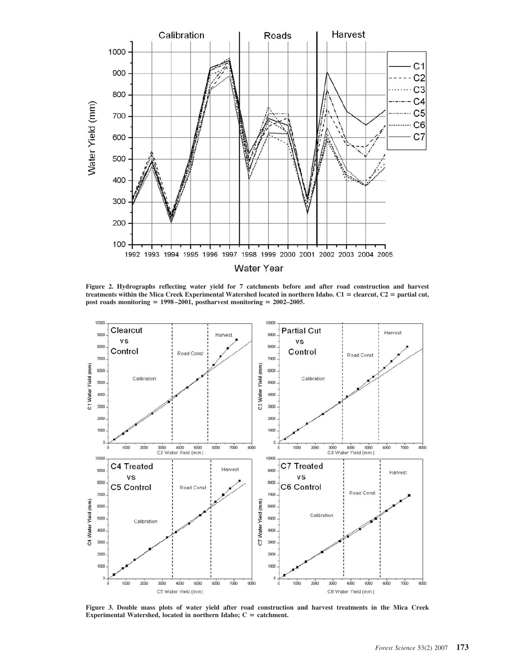

**Figure 2. Hydrographs reflecting water yield for 7 catchments before and after road construction and harvest**  $t$ reatments within the Mica Creek Experimental Watershed located in northern Idaho.  $C1 =$  clearcut,  $C2 =$  partial cut, **post roads monitoring 1998 –2001, postharvest monitoring 2002–2005.**



**Figure 3. Double mass plots of water yield after road construction and harvest treatments in the Mica Creek** Experimental Watershed, located in northern Idaho; C = catchment.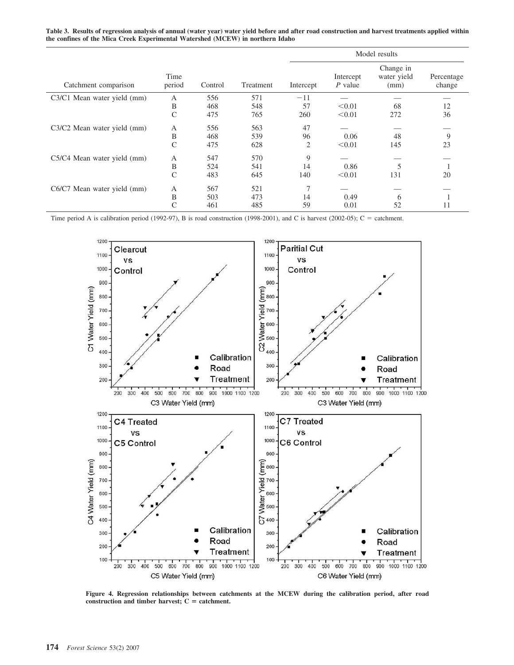**Table 3. Results of regression analysis of annual (water year) water yield before and after road construction and harvest treatments applied within the confines of the Mica Creek Experimental Watershed (MCEW) in northern Idaho**

|                             |                |         |           | Model results  |                        |                                  |                      |  |
|-----------------------------|----------------|---------|-----------|----------------|------------------------|----------------------------------|----------------------|--|
| Catchment comparison        | Time<br>period | Control | Treatment | Intercept      | Intercept<br>$P$ value | Change in<br>water yield<br>(mm) | Percentage<br>change |  |
| C3/C1 Mean water yield (mm) | A              | 556     | 571       | $-11$          |                        |                                  |                      |  |
|                             | B              | 468     | 548       | 57             | < 0.01                 | 68                               | 12                   |  |
|                             | $\mathcal{C}$  | 475     | 765       | 260            | < 0.01                 | 272                              | 36                   |  |
| C3/C2 Mean water yield (mm) | A              | 556     | 563       | 47             |                        |                                  |                      |  |
|                             | B              | 468     | 539       | 96             | 0.06                   | 48                               | 9                    |  |
|                             | $\mathcal{C}$  | 475     | 628       | $\overline{2}$ | < 0.01                 | 145                              | 23                   |  |
| C5/C4 Mean water yield (mm) | А              | 547     | 570       | 9              |                        |                                  |                      |  |
|                             | B              | 524     | 541       | 14             | 0.86                   | 5                                |                      |  |
|                             | $\mathcal{C}$  | 483     | 645       | 140            | < 0.01                 | 131                              | 20                   |  |
| C6/C7 Mean water yield (mm) | А              | 567     | 521       | $\tau$         |                        |                                  |                      |  |
|                             | B              | 503     | 473       | 14             | 0.49                   | 6                                |                      |  |
|                             | C              | 461     | 485       | 59             | 0.01                   | 52                               | 11                   |  |

Time period A is calibration period (1992-97), B is road construction (1998-2001), and C is harvest (2002-05);  $C =$  catchment.



**Figure 4. Regression relationships between catchments at the MCEW during the calibration period, after road** construction and timber harvest;  $C =$  catchment.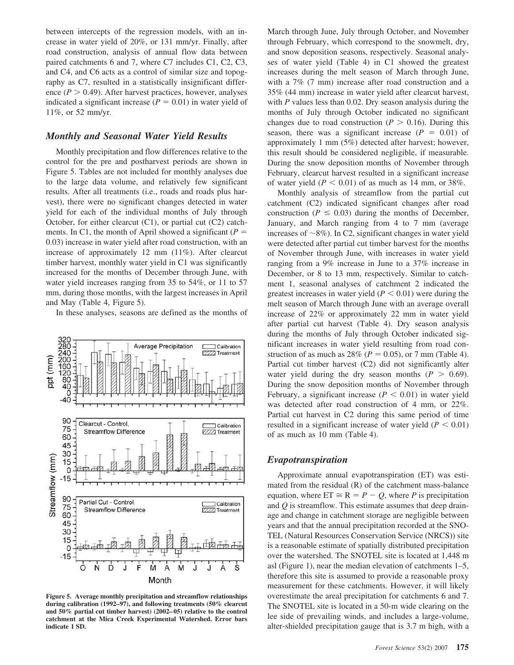between intercepts of the regression models, with an increase in water yield of 20%, or 131 mm/yr. Finally, after road construction, analysis of annual flow data between paired catchments 6 and 7, where C7 includes C1, C2, C3, and C4, and C6 acts as a control of similar size and topography as C7, resulted in a statistically insignificant difference  $(P > 0.49)$ . After harvest practices, however, analyses indicated a significant increase  $(P = 0.01)$  in water yield of 11%, or 52 mm/yr.

#### *Monthly and Seasonal Water Yield Results*

Monthly precipitation and flow differences relative to the control for the pre and postharvest periods are shown in Figure 5. Tables are not included for monthly analyses due to the large data volume, and relatively few significant results. After all treatments (i.e., roads and roads plus harvest), there were no significant changes detected in water yield for each of the individual months of July through October, for either clearcut (C1), or partial cut (C2) catchments. In C1, the month of April showed a significant  $(P =$ 0.03) increase in water yield after road construction, with an increase of approximately 12 mm (11%). After clearcut timber harvest, monthly water yield in C1 was significantly increased for the months of December through June, with water yield increases ranging from 35 to 54%, or 11 to 57 mm, during those months, with the largest increases in April and May (Table 4, Figure 5).

In these analyses, seasons are defined as the months of



**Figure 5. Average monthly precipitation and streamflow relationships during calibration (1992–97), and following treatments (50% clearcut and 50% partial cut timber harvest) (2002– 05) relative to the control catchment at the Mica Creek Experimental Watershed. Error bars indicate 1 SD.**

March through June, July through October, and November through February, which correspond to the snowmelt, dry, and snow deposition seasons, respectively. Seasonal analyses of water yield (Table 4) in C1 showed the greatest increases during the melt season of March through June, with a 7% (7 mm) increase after road construction and a 35% (44 mm) increase in water yield after clearcut harvest, with *P* values less than 0.02. Dry season analysis during the months of July through October indicated no significant changes due to road construction ( $P > 0.16$ ). During this season, there was a significant increase  $(P = 0.01)$  of approximately 1 mm (5%) detected after harvest; however, this result should be considered negligible, if measurable. During the snow deposition months of November through February, clearcut harvest resulted in a significant increase of water yield  $(P < 0.01)$  of as much as 14 mm, or 38%.

Monthly analysis of streamflow from the partial cut catchment (C2) indicated significant changes after road construction ( $P \le 0.03$ ) during the months of December, January, and March ranging from 4 to 7 mm (average increases of  $\sim$ 8%). In C2, significant changes in water yield were detected after partial cut timber harvest for the months of November through June, with increases in water yield ranging from a 9% increase in June to a 37% increase in December, or 8 to 13 mm, respectively. Similar to catchment 1, seasonal analyses of catchment 2 indicated the greatest increases in water yield  $(P < 0.01)$  were during the melt season of March through June with an average overall increase of 22% or approximately 22 mm in water yield after partial cut harvest (Table 4). Dry season analysis during the months of July through October indicated significant increases in water yield resulting from road construction of as much as  $28\%$  ( $P = 0.05$ ), or 7 mm (Table 4). Partial cut timber harvest (C2) did not significantly alter water yield during the dry season months  $(P > 0.69)$ . During the snow deposition months of November through February, a significant increase  $(P < 0.01)$  in water yield was detected after road construction of 4 mm, or 22%. Partial cut harvest in C2 during this same period of time resulted in a significant increase of water yield  $(P < 0.01)$ of as much as 10 mm (Table 4).

## *Evapotranspiration*

Approximate annual evapotranspiration (ET) was estimated from the residual (R) of the catchment mass-balance equation, where  $ET \cong R = P - Q$ , where *P* is precipitation and *Q* is streamflow. This estimate assumes that deep drainage and change in catchment storage are negligible between years and that the annual precipitation recorded at the SNO-TEL (Natural Resources Conservation Service (NRCS)) site is a reasonable estimate of spatially distributed precipitation over the watershed. The SNOTEL site is located at 1,448 m asl (Figure 1), near the median elevation of catchments 1–5, therefore this site is assumed to provide a reasonable proxy measurement for these catchments. However, it will likely overestimate the areal precipitation for catchments 6 and 7. The SNOTEL site is located in a 50-m wide clearing on the lee side of prevailing winds, and includes a large-volume, alter-shielded precipitation gauge that is 3.7 m high, with a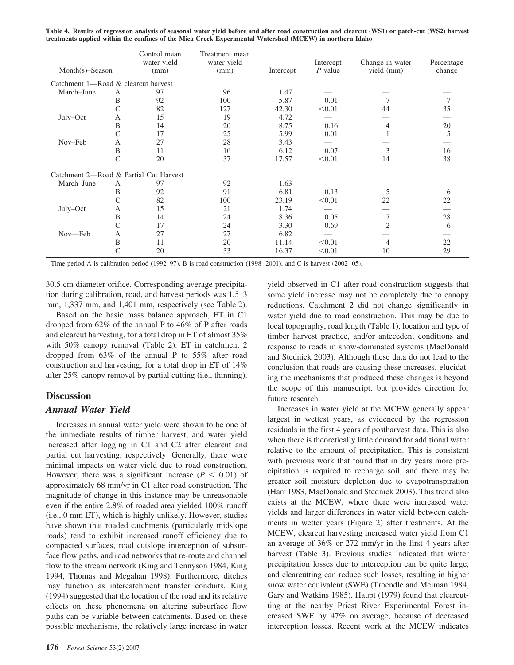| Control mean<br>water yield<br>$Month(s)$ -Season<br>(mm) |               | Treatment mean<br>water yield          |      | Intercept | Change in water | Percentage     |        |
|-----------------------------------------------------------|---------------|----------------------------------------|------|-----------|-----------------|----------------|--------|
|                                                           |               |                                        | (mm) | Intercept | $P$ value       | yield (mm)     | change |
| Catchment 1—Road & clearcut harvest                       |               |                                        |      |           |                 |                |        |
| March-June                                                | A             | 97                                     | 96   | $-1.47$   |                 |                |        |
|                                                           | B             | 92                                     | 100  | 5.87      | 0.01            |                |        |
|                                                           | C             | 82                                     | 127  | 42.30     | < 0.01          | 44             | 35     |
| July–Oct                                                  | A             | 15                                     | 19   | 4.72      |                 |                |        |
|                                                           | B             | 14                                     | 20   | 8.75      | 0.16            | 4              | 20     |
|                                                           | $\mathsf{C}$  | 17                                     | 25   | 5.99      | 0.01            |                | 5      |
| Nov-Feb                                                   | A             | 27                                     | 28   | 3.43      |                 |                |        |
|                                                           | B             | 11                                     | 16   | 6.12      | 0.07            | 3              | 16     |
|                                                           | $\mathcal{C}$ | 20                                     | 37   | 17.57     | < 0.01          | 14             | 38     |
|                                                           |               | Catchment 2—Road & Partial Cut Harvest |      |           |                 |                |        |
| March-June                                                | A             | 97                                     | 92   | 1.63      |                 |                |        |
|                                                           | B             | 92                                     | 91   | 6.81      | 0.13            | 5              | 6      |
|                                                           | C             | 82                                     | 100  | 23.19     | < 0.01          | 22             | 22     |
| July–Oct                                                  | А             | 15                                     | 21   | 1.74      |                 |                |        |
|                                                           | B             | 14                                     | 24   | 8.36      | 0.05            | 7              | 28     |
|                                                           | C             | 17                                     | 24   | 3.30      | 0.69            | $\overline{2}$ | 6      |
| Nov—Feb                                                   | A             | 27                                     | 27   | 6.82      |                 |                |        |
|                                                           | B             | 11                                     | 20   | 11.14     | < 0.01          | 4              | 22     |
|                                                           | C             | 20                                     | 33   | 16.37     | < 0.01          | 10             | 29     |

**Table 4. Results of regression analysis of seasonal water yield before and after road construction and clearcut (WS1) or patch-cut (WS2) harvest treatments applied within the confines of the Mica Creek Experimental Watershed (MCEW) in northern Idaho**

Time period A is calibration period (1992–97), B is road construction (1998–2001), and C is harvest (2002–05).

30.5 cm diameter orifice. Corresponding average precipitation during calibration, road, and harvest periods was 1,513 mm, 1,337 mm, and 1,401 mm, respectively (see Table 2).

Based on the basic mass balance approach, ET in C1 dropped from 62% of the annual P to 46% of P after roads and clearcut harvesting, for a total drop in ET of almost 35% with 50% canopy removal (Table 2). ET in catchment 2 dropped from 63% of the annual P to 55% after road construction and harvesting, for a total drop in ET of 14% after 25% canopy removal by partial cutting (i.e., thinning).

#### **Discussion**

#### *Annual Water Yield*

Increases in annual water yield were shown to be one of the immediate results of timber harvest, and water yield increased after logging in C1 and C2 after clearcut and partial cut harvesting, respectively. Generally, there were minimal impacts on water yield due to road construction. However, there was a significant increase  $(P < 0.01)$  of approximately 68 mm/yr in C1 after road construction. The magnitude of change in this instance may be unreasonable even if the entire 2.8% of roaded area yielded 100% runoff (i.e., 0 mm ET), which is highly unlikely. However, studies have shown that roaded catchments (particularly midslope roads) tend to exhibit increased runoff efficiency due to compacted surfaces, road cutslope interception of subsurface flow paths, and road networks that re-route and channel flow to the stream network (King and Tennyson 1984, King 1994, Thomas and Megahan 1998). Furthermore, ditches may function as intercatchment transfer conduits. King (1994) suggested that the location of the road and its relative effects on these phenomena on altering subsurface flow paths can be variable between catchments. Based on these possible mechanisms, the relatively large increase in water

yield observed in C1 after road construction suggests that some yield increase may not be completely due to canopy reductions. Catchment 2 did not change significantly in water yield due to road construction. This may be due to local topography, road length (Table 1), location and type of timber harvest practice, and/or antecedent conditions and response to roads in snow-dominated systems (MacDonald and Stednick 2003). Although these data do not lead to the conclusion that roads are causing these increases, elucidating the mechanisms that produced these changes is beyond the scope of this manuscript, but provides direction for future research.

Increases in water yield at the MCEW generally appear largest in wettest years, as evidenced by the regression residuals in the first 4 years of postharvest data. This is also when there is theoretically little demand for additional water relative to the amount of precipitation. This is consistent with previous work that found that in dry years more precipitation is required to recharge soil, and there may be greater soil moisture depletion due to evapotranspiration (Harr 1983, MacDonald and Stednick 2003). This trend also exists at the MCEW, where there were increased water yields and larger differences in water yield between catchments in wetter years (Figure 2) after treatments. At the MCEW, clearcut harvesting increased water yield from C1 an average of 36% or 272 mm/yr in the first 4 years after harvest (Table 3). Previous studies indicated that winter precipitation losses due to interception can be quite large, and clearcutting can reduce such losses, resulting in higher snow water equivalent (SWE) (Troendle and Meiman 1984, Gary and Watkins 1985). Haupt (1979) found that clearcutting at the nearby Priest River Experimental Forest increased SWE by 47% on average, because of decreased interception losses. Recent work at the MCEW indicates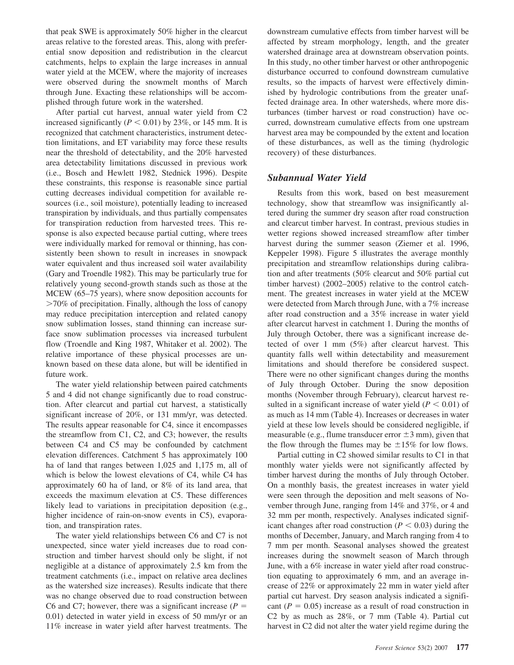that peak SWE is approximately 50% higher in the clearcut areas relative to the forested areas. This, along with preferential snow deposition and redistribution in the clearcut catchments, helps to explain the large increases in annual water yield at the MCEW, where the majority of increases were observed during the snowmelt months of March through June. Exacting these relationships will be accomplished through future work in the watershed.

After partial cut harvest, annual water yield from C2 increased significantly ( $P < 0.01$ ) by 23%, or 145 mm. It is recognized that catchment characteristics, instrument detection limitations, and ET variability may force these results near the threshold of detectability, and the 20% harvested area detectability limitations discussed in previous work (i.e., Bosch and Hewlett 1982, Stednick 1996). Despite these constraints, this response is reasonable since partial cutting decreases individual competition for available resources (i.e., soil moisture), potentially leading to increased transpiration by individuals, and thus partially compensates for transpiration reduction from harvested trees. This response is also expected because partial cutting, where trees were individually marked for removal or thinning, has consistently been shown to result in increases in snowpack water equivalent and thus increased soil water availability (Gary and Troendle 1982). This may be particularly true for relatively young second-growth stands such as those at the MCEW (65–75 years), where snow deposition accounts for 70% of precipitation. Finally, although the loss of canopy may reduce precipitation interception and related canopy snow sublimation losses, stand thinning can increase surface snow sublimation processes via increased turbulent flow (Troendle and King 1987, Whitaker et al. 2002). The relative importance of these physical processes are unknown based on these data alone, but will be identified in future work.

The water yield relationship between paired catchments 5 and 4 did not change significantly due to road construction. After clearcut and partial cut harvest, a statistically significant increase of 20%, or 131 mm/yr, was detected. The results appear reasonable for C4, since it encompasses the streamflow from C1, C2, and C3; however, the results between C4 and C5 may be confounded by catchment elevation differences. Catchment 5 has approximately 100 ha of land that ranges between 1,025 and 1,175 m, all of which is below the lowest elevations of C4, while C4 has approximately 60 ha of land, or 8% of its land area, that exceeds the maximum elevation at C5. These differences likely lead to variations in precipitation deposition (e.g., higher incidence of rain-on-snow events in C5), evaporation, and transpiration rates.

The water yield relationships between C6 and C7 is not unexpected, since water yield increases due to road construction and timber harvest should only be slight, if not negligible at a distance of approximately 2.5 km from the treatment catchments (i.e., impact on relative area declines as the watershed size increases). Results indicate that there was no change observed due to road construction between C6 and C7; however, there was a significant increase  $(P =$ 0.01) detected in water yield in excess of 50 mm/yr or an 11% increase in water yield after harvest treatments. The

downstream cumulative effects from timber harvest will be affected by stream morphology, length, and the greater watershed drainage area at downstream observation points. In this study, no other timber harvest or other anthropogenic disturbance occurred to confound downstream cumulative results, so the impacts of harvest were effectively diminished by hydrologic contributions from the greater unaffected drainage area. In other watersheds, where more disturbances (timber harvest or road construction) have occurred, downstream cumulative effects from one upstream harvest area may be compounded by the extent and location of these disturbances, as well as the timing (hydrologic recovery) of these disturbances.

## *Subannual Water Yield*

Results from this work, based on best measurement technology, show that streamflow was insignificantly altered during the summer dry season after road construction and clearcut timber harvest. In contrast, previous studies in wetter regions showed increased streamflow after timber harvest during the summer season (Ziemer et al. 1996, Keppeler 1998). Figure 5 illustrates the average monthly precipitation and streamflow relationships during calibration and after treatments (50% clearcut and 50% partial cut timber harvest) (2002–2005) relative to the control catchment. The greatest increases in water yield at the MCEW were detected from March through June, with a 7% increase after road construction and a 35% increase in water yield after clearcut harvest in catchment 1. During the months of July through October, there was a significant increase detected of over 1 mm (5%) after clearcut harvest. This quantity falls well within detectability and measurement limitations and should therefore be considered suspect. There were no other significant changes during the months of July through October. During the snow deposition months (November through February), clearcut harvest resulted in a significant increase of water yield  $(P < 0.01)$  of as much as 14 mm (Table 4). Increases or decreases in water yield at these low levels should be considered negligible, if measurable (e.g., flume transducer error  $\pm 3$  mm), given that the flow through the flumes may be  $\pm 15\%$  for low flows.

Partial cutting in C2 showed similar results to C1 in that monthly water yields were not significantly affected by timber harvest during the months of July through October. On a monthly basis, the greatest increases in water yield were seen through the deposition and melt seasons of November through June, ranging from 14% and 37%, or 4 and 32 mm per month, respectively. Analyses indicated significant changes after road construction ( $P < 0.03$ ) during the months of December, January, and March ranging from 4 to 7 mm per month. Seasonal analyses showed the greatest increases during the snowmelt season of March through June, with a 6% increase in water yield after road construction equating to approximately 6 mm, and an average increase of 22% or approximately 22 mm in water yield after partial cut harvest. Dry season analysis indicated a significant  $(P = 0.05)$  increase as a result of road construction in C2 by as much as 28%, or 7 mm (Table 4). Partial cut harvest in C2 did not alter the water yield regime during the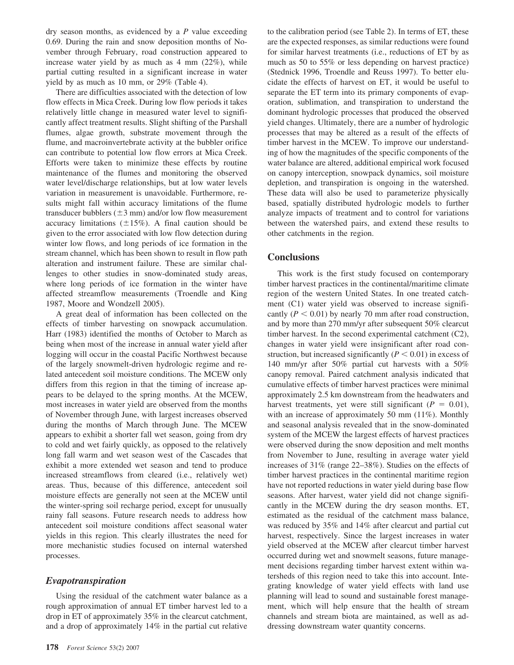dry season months, as evidenced by a *P* value exceeding 0.69. During the rain and snow deposition months of November through February, road construction appeared to increase water yield by as much as 4 mm (22%), while partial cutting resulted in a significant increase in water yield by as much as 10 mm, or 29% (Table 4).

There are difficulties associated with the detection of low flow effects in Mica Creek. During low flow periods it takes relatively little change in measured water level to significantly affect treatment results. Slight shifting of the Parshall flumes, algae growth, substrate movement through the flume, and macroinvertebrate activity at the bubbler orifice can contribute to potential low flow errors at Mica Creek. Efforts were taken to minimize these effects by routine maintenance of the flumes and monitoring the observed water level/discharge relationships, but at low water levels variation in measurement is unavoidable. Furthermore, results might fall within accuracy limitations of the flume transducer bubblers  $(\pm 3 \text{ mm})$  and/or low flow measurement accuracy limitations  $(\pm 15\%)$ . A final caution should be given to the error associated with low flow detection during winter low flows, and long periods of ice formation in the stream channel, which has been shown to result in flow path alteration and instrument failure. These are similar challenges to other studies in snow-dominated study areas, where long periods of ice formation in the winter have affected streamflow measurements (Troendle and King 1987, Moore and Wondzell 2005).

A great deal of information has been collected on the effects of timber harvesting on snowpack accumulation. Harr (1983) identified the months of October to March as being when most of the increase in annual water yield after logging will occur in the coastal Pacific Northwest because of the largely snowmelt-driven hydrologic regime and related antecedent soil moisture conditions. The MCEW only differs from this region in that the timing of increase appears to be delayed to the spring months. At the MCEW, most increases in water yield are observed from the months of November through June, with largest increases observed during the months of March through June. The MCEW appears to exhibit a shorter fall wet season, going from dry to cold and wet fairly quickly, as opposed to the relatively long fall warm and wet season west of the Cascades that exhibit a more extended wet season and tend to produce increased streamflows from cleared (i.e., relatively wet) areas. Thus, because of this difference, antecedent soil moisture effects are generally not seen at the MCEW until the winter-spring soil recharge period, except for unusually rainy fall seasons. Future research needs to address how antecedent soil moisture conditions affect seasonal water yields in this region. This clearly illustrates the need for more mechanistic studies focused on internal watershed processes.

#### *Evapotranspiration*

Using the residual of the catchment water balance as a rough approximation of annual ET timber harvest led to a drop in ET of approximately 35% in the clearcut catchment, and a drop of approximately 14% in the partial cut relative

to the calibration period (see Table 2). In terms of ET, these are the expected responses, as similar reductions were found for similar harvest treatments (i.e., reductions of ET by as much as 50 to 55% or less depending on harvest practice) (Stednick 1996, Troendle and Reuss 1997). To better elucidate the effects of harvest on ET, it would be useful to separate the ET term into its primary components of evaporation, sublimation, and transpiration to understand the dominant hydrologic processes that produced the observed yield changes. Ultimately, there are a number of hydrologic processes that may be altered as a result of the effects of timber harvest in the MCEW. To improve our understanding of how the magnitudes of the specific components of the water balance are altered, additional empirical work focused on canopy interception, snowpack dynamics, soil moisture depletion, and transpiration is ongoing in the watershed. These data will also be used to parameterize physically based, spatially distributed hydrologic models to further analyze impacts of treatment and to control for variations between the watershed pairs, and extend these results to other catchments in the region.

#### **Conclusions**

This work is the first study focused on contemporary timber harvest practices in the continental/maritime climate region of the western United States. In one treated catchment (C1) water yield was observed to increase significantly ( $P < 0.01$ ) by nearly 70 mm after road construction, and by more than 270 mm/yr after subsequent 50% clearcut timber harvest. In the second experimental catchment (C2), changes in water yield were insignificant after road construction, but increased significantly  $(P < 0.01)$  in excess of 140 mm/yr after 50% partial cut harvests with a 50% canopy removal. Paired catchment analysis indicated that cumulative effects of timber harvest practices were minimal approximately 2.5 km downstream from the headwaters and harvest treatments, yet were still significant ( $P = 0.01$ ), with an increase of approximately 50 mm (11%). Monthly and seasonal analysis revealed that in the snow-dominated system of the MCEW the largest effects of harvest practices were observed during the snow deposition and melt months from November to June, resulting in average water yield increases of 31% (range 22–38%). Studies on the effects of timber harvest practices in the continental maritime region have not reported reductions in water yield during base flow seasons. After harvest, water yield did not change significantly in the MCEW during the dry season months. ET, estimated as the residual of the catchment mass balance, was reduced by 35% and 14% after clearcut and partial cut harvest, respectively. Since the largest increases in water yield observed at the MCEW after clearcut timber harvest occurred during wet and snowmelt seasons, future management decisions regarding timber harvest extent within watersheds of this region need to take this into account. Integrating knowledge of water yield effects with land use planning will lead to sound and sustainable forest management, which will help ensure that the health of stream channels and stream biota are maintained, as well as addressing downstream water quantity concerns.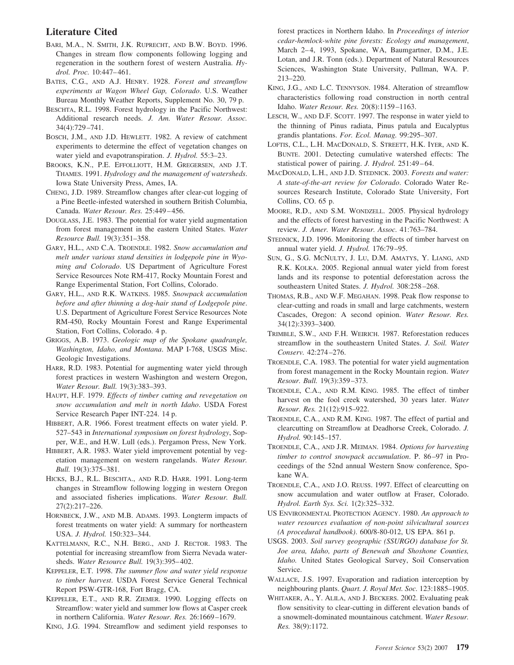# **Literature Cited**

- BARI, M.A., N. SMITH, J.K. RUPRECHT, AND B.W. BOYD. 1996. Changes in stream flow components following logging and regeneration in the southern forest of western Australia. *Hydrol. Proc.* 10:447– 461.
- BATES, C.G., AND A.J. HENRY. 1928. *Forest and streamflow experiments at Wagon Wheel Gap, Colorado*. U.S. Weather Bureau Monthly Weather Reports, Supplement No. 30, 79 p.
- BESCHTA, R.L. 1998. Forest hydrology in the Pacific Northwest: Additional research needs. *J. Am. Water Resour. Assoc.* 34(4):729 –741.
- BOSCH, J.M., AND J.D. HEWLETT. 1982. A review of catchment experiments to determine the effect of vegetation changes on water yield and evapotranspiration. *J. Hydrol.* 55:3–23.
- BROOKS, K.N., P.E. EFFOLLIOTT, H.M. GREGERSEN, AND J.T. THAMES. 1991. *Hydrology and the management of watersheds*. Iowa State University Press, Ames, IA.
- CHENG, J.D. 1989. Streamflow changes after clear-cut logging of a Pine Beetle-infested watershed in southern British Columbia, Canada. *Water Resour. Res.* 25:449 – 456.
- DOUGLASS, J.E. 1983. The potential for water yield augmentation from forest management in the eastern United States. *Water Resource Bull.* 19(3):351–358.
- GARY, H.L., AND C.A. TROENDLE. 1982. *Snow accumulation and melt under various stand densities in lodgepole pine in Wyoming and Colorado*. US Department of Agriculture Forest Service Resources Note RM-417, Rocky Mountain Forest and Range Experimental Station, Fort Collins, Colorado.
- GARY, H.L., AND R.K. WATKINS. 1985. *Snowpack accumulation before and after thinning a dog-hair stand of Lodgepole pine*. U.S. Department of Agriculture Forest Service Resources Note RM-450, Rocky Mountain Forest and Range Experimental Station, Fort Collins, Colorado. 4 p.
- GRIGGS, A.B. 1973. *Geologic map of the Spokane quadrangle, Washington, Idaho, and Montana*. MAP I-768, USGS Misc. Geologic Investigations.
- HARR, R.D. 1983. Potential for augmenting water yield through forest practices in western Washington and western Oregon, *Water Resour. Bull.* 19(3):383–393.
- HAUPT, H.F. 1979. *Effects of timber cutting and revegetation on snow accumulation and melt in north Idaho*. USDA Forest Service Research Paper INT-224. 14 p.
- HIBBERT, A.R. 1966. Forest treatment effects on water yield. P. 527–543 in *International symposium on forest hydrology*, Sopper, W.E., and H.W. Lull (eds.). Pergamon Press, New York.
- HIBBERT, A.R. 1983. Water yield improvement potential by vegetation management on western rangelands. *Water Resour. Bull.* 19(3):375–381.
- HICKS, B.J., R.L. BESCHTA., AND R.D. HARR. 1991. Long-term changes in Streamflow following logging in western Oregon and associated fisheries implications. *Water Resour. Bull.* 27(2):217–226.
- HORNBECK, J.W., AND M.B. ADAMS. 1993. Longterm impacts of forest treatments on water yield: A summary for northeastern USA. *J. Hydrol.* 150:323–344.
- KATTELMANN, R.C., N.H. BERG., AND J. RECTOR. 1983. The potential for increasing streamflow from Sierra Nevada watersheds. *Water Resource Bull.* 19(3):395– 402.
- KEPPELER, E.T. 1998. *The summer flow and water yield response to timber harvest*. USDA Forest Service General Technical Report PSW-GTR-168, Fort Bragg, CA.
- KEPPELER, E.T., AND R.R. ZIEMER. 1990. Logging effects on Streamflow: water yield and summer low flows at Casper creek in northern California. *Water Resour. Res.* 26:1669 –1679.

KING, J.G. 1994. Streamflow and sediment yield responses to

forest practices in Northern Idaho. In *Proceedings of interior cedar-hemlock-white pine forests: Ecology and management*, March 2-4, 1993, Spokane, WA, Baumgartner, D.M., J.E. Lotan, and J.R. Tonn (eds.). Department of Natural Resources Sciences, Washington State University, Pullman, WA. P. 213–220.

- KING, J.G., AND L.C. TENNYSON. 1984. Alteration of streamflow characteristics following road construction in north central Idaho. *Water Resour. Res.* 20(8):1159 –1163.
- LESCH, W., AND D.F. SCOTT. 1997. The response in water yield to the thinning of Pinus radiata, Pinus patula and Eucalyptus grandis plantations. *For. Ecol. Manag.* 99:295–307.
- LOFTIS, C.L., L.H. MACDONALD, S. STREETT, H.K. IYER, AND K. BUNTE. 2001. Detecting cumulative watershed effects: The statistical power of pairing. *J. Hydrol.* 251:49–64.
- MACDONALD, L.H., AND J.D. STEDNICK. 2003. *Forests and water: A state-of-the-art review for Colorado*. Colorado Water Resources Research Institute, Colorado State University, Fort Collins, CO. 65 p.
- MOORE, R.D., AND S.M. WONDZELL. 2005. Physical hydrology and the effects of forest harvesting in the Pacific Northwest: A review. *J. Amer. Water Resour. Assoc.* 41:763–784.
- STEDNICK, J.D. 1996. Monitoring the effects of timber harvest on annual water yield. *J. Hydrol.* 176:79 –95.
- SUN, G., S.G. MCNULTY, J. LU, D.M. AMATYS, Y. LIANG, AND R.K. KOLKA. 2005. Regional annual water yield from forest lands and its response to potential deforestation across the southeastern United States. *J. Hydrol.* 308:258-268.
- THOMAS, R.B., AND W.F. MEGAHAN. 1998. Peak flow response to clear-cutting and roads in small and large catchments, western Cascades, Oregon: A second opinion. *Water Resour. Res.* 34(12):3393–3400.
- TRIMBLE, S.W., AND F.H. WEIRICH. 1987. Reforestation reduces streamflow in the southeastern United States. *J. Soil. Water Conserv.* 42:274 –276.
- TROENDLE, C.A. 1983. The potential for water yield augmentation from forest management in the Rocky Mountain region. *Water Resour. Bull.* 19(3):359 –373.
- TROENDLE, C.A., AND R.M. KING. 1985. The effect of timber harvest on the fool creek watershed, 30 years later. *Water Resour. Res.* 21(12):915–922.
- TROENDLE, C.A., AND R.M. KING. 1987. The effect of partial and clearcutting on Streamflow at Deadhorse Creek, Colorado. *J. Hydrol.* 90:145–157.
- TROENDLE, C.A., AND J.R. MEIMAN. 1984. *Options for harvesting timber to control snowpack accumulation*. P. 86 –97 in Proceedings of the 52nd annual Western Snow conference, Spokane WA.
- TROENDLE, C.A., AND J.O. REUSS. 1997. Effect of clearcutting on snow accumulation and water outflow at Fraser, Colorado. *Hydrol. Earth Sys. Sci.* 1(2):325–332.
- US ENVIRONMENTAL PROTECTION AGENCY. 1980. *An approach to water resources evaluation of non-point silvicultural sources (A procedural handbook)*. 600/8-80-012, US EPA. 861 p.
- USGS. 2003. *Soil survey geographic (SSURGO) database for St. Joe area, Idaho, parts of Benewah and Shoshone Counties, Idaho.* United States Geological Survey, Soil Conservation Service.
- WALLACE, J.S. 1997. Evaporation and radiation interception by neighbouring plants. *Quart. J. Royal Met. Soc.* 123:1885–1905.
- WHITAKER, A., Y. ALILA, AND J. BECKERS. 2002. Evaluating peak flow sensitivity to clear-cutting in different elevation bands of a snowmelt-dominated mountainous catchment. *Water Resour. Res.* 38(9):1172.